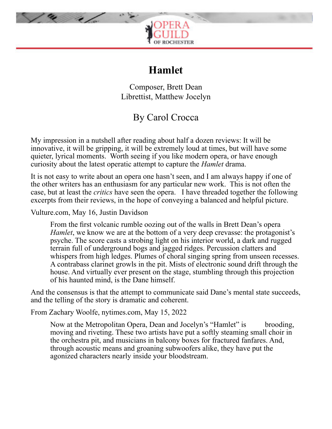

# **Hamlet**

Composer, Brett Dean Librettist, Matthew Jocelyn

# By Carol Crocca

My impression in a nutshell after reading about half a dozen reviews: It will be innovative, it will be gripping, it will be extremely loud at times, but will have some quieter, lyrical moments. Worth seeing if you like modern opera, or have enough curiosity about the latest operatic attempt to capture the *Hamlet* drama.

It is not easy to write about an opera one hasn't seen, and I am always happy if one of the other writers has an enthusiasm for any particular new work. This is not often the case, but at least the *critics* have seen the opera. I have threaded together the following excerpts from their reviews, in the hope of conveying a balanced and helpful picture.

Vulture.com, May 16, Justin Davidson

From the first volcanic rumble oozing out of the walls in Brett Dean's opera *Hamlet*, we know we are at the bottom of a very deep crevasse: the protagonist's psyche. The score casts a strobing light on his interior world, a dark and rugged terrain full of underground bogs and jagged ridges. Percussion clatters and whispers from high ledges. Plumes of choral singing spring from unseen recesses. A contrabass clarinet growls in the pit. Mists of electronic sound drift through the house. And virtually ever present on the stage, stumbling through this projection of his haunted mind, is the Dane himself.

And the consensus is that the attempt to communicate said Dane's mental state succeeds, and the telling of the story is dramatic and coherent.

From Zachary Woolfe, nytimes.com, May 15, 2022

Now at the Metropolitan Opera, Dean and Jocelyn's "Hamlet" is brooding, moving and riveting. These two artists have put a softly steaming small choir in the orchestra pit, and musicians in balcony boxes for fractured fanfares. And, through acoustic means and groaning subwoofers alike, they have put the agonized characters nearly inside your bloodstream.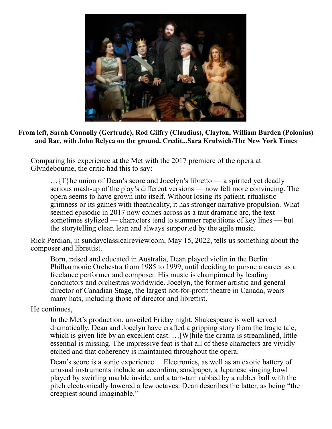

#### **From left, Sarah Connolly (Gertrude), Rod Gilfry (Claudius), Clayton, William Burden (Polonius) and Rae, with John Relyea on the ground. Credit...Sara Krulwich/The New York Times**

Comparing his experience at the Met with the 2017 premiere of the opera at Glyndebourne, the critic had this to say:

 $\ldots$  {T}he union of Dean's score and Jocelyn's libretto — a spirited yet deadly serious mash-up of the play's different versions — now felt more convincing. The opera seems to have grown into itself. Without losing its patient, ritualistic grimness or its games with theatricality, it has stronger narrative propulsion. What seemed episodic in 2017 now comes across as a taut dramatic arc, the text sometimes stylized — characters tend to stammer repetitions of key lines — but the storytelling clear, lean and always supported by the agile music.

Rick Perdian, in sundayclassicalreview.com, May 15, 2022, tells us something about the composer and librettist.

Born, raised and educated in Australia, Dean played violin in the Berlin Philharmonic Orchestra from 1985 to 1999, until deciding to pursue a career as a freelance performer and composer. His music is championed by leading conductors and orchestras worldwide. Jocelyn, the former artistic and general director of Canadian Stage, the largest not-for-profit theatre in Canada, wears many hats, including those of director and librettist.

## He continues,

In the Met's production, unveiled Friday night, Shakespeare is well served dramatically. Dean and Jocelyn have crafted a gripping story from the tragic tale, which is given life by an excellent cast. ... [W] hile the drama is streamlined, little essential is missing. The impressive feat is that all of these characters are vividly etched and that coherency is maintained throughout the opera.

Dean's score is a sonic experience. Electronics, as well as an exotic battery of unusual instruments include an accordion, sandpaper, a Japanese singing bowl played by swirling marble inside, and a tam-tam rubbed by a rubber ball with the pitch electronically lowered a few octaves. Dean describes the latter, as being "the creepiest sound imaginable."